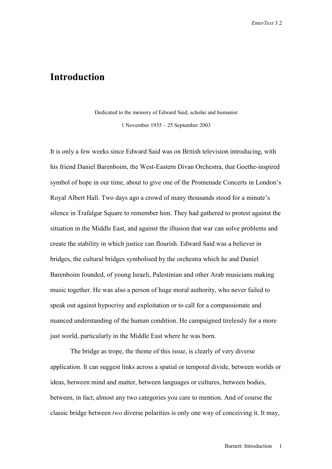## **Introduction**

Dedicated to the memory of Edward Said, scholar and humanist 1 November 1935 – 25 September 2003

It is only a few weeks since Edward Said was on British television introducing, with his friend Daniel Barenboim, the West-Eastern Divan Orchestra, that Goethe-inspired symbol of hope in our time, about to give one of the Promenade Concerts in London's Royal Albert Hall. Two days ago a crowd of many thousands stood for a minute's silence in Trafalgar Square to remember him. They had gathered to protest against the situation in the Middle East, and against the illusion that war can solve problems and create the stability in which justice can flourish. Edward Said was a believer in bridges, the cultural bridges symbolised by the orchestra which he and Daniel Barenboim founded, of young Israeli, Palestinian and other Arab musicians making music together. He was also a person of huge moral authority, who never failed to speak out against hypocrisy and exploitation or to call for a compassionate and nuanced understanding of the human condition. He campaigned tirelessly for a more just world, particularly in the Middle East where he was born.

The bridge as trope, the theme of this issue, is clearly of very diverse application. It can suggest links across a spatial or temporal divide, between worlds or ideas, between mind and matter, between languages or cultures, between bodies, between, in fact, almost any two categories you care to mention. And of course the classic bridge between *two* diverse polarities is only one way of conceiving it. It may,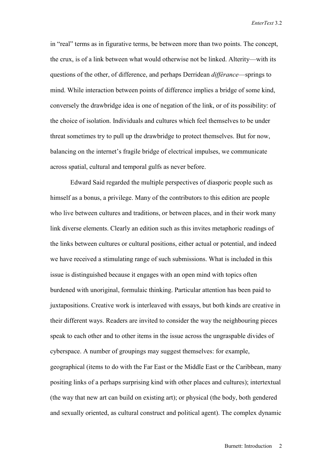in "real" terms as in figurative terms, be between more than two points. The concept, the crux, is of a link between what would otherwise not be linked. Alterity—with its questions of the other, of difference, and perhaps Derridean *différance*—springs to mind. While interaction between points of difference implies a bridge of some kind, conversely the drawbridge idea is one of negation of the link, or of its possibility: of the choice of isolation. Individuals and cultures which feel themselves to be under threat sometimes try to pull up the drawbridge to protect themselves. But for now, balancing on the internet's fragile bridge of electrical impulses, we communicate across spatial, cultural and temporal gulfs as never before.

Edward Said regarded the multiple perspectives of diasporic people such as himself as a bonus, a privilege. Many of the contributors to this edition are people who live between cultures and traditions, or between places, and in their work many link diverse elements. Clearly an edition such as this invites metaphoric readings of the links between cultures or cultural positions, either actual or potential, and indeed we have received a stimulating range of such submissions. What is included in this issue is distinguished because it engages with an open mind with topics often burdened with unoriginal, formulaic thinking. Particular attention has been paid to juxtapositions. Creative work is interleaved with essays, but both kinds are creative in their different ways. Readers are invited to consider the way the neighbouring pieces speak to each other and to other items in the issue across the ungraspable divides of cyberspace. A number of groupings may suggest themselves: for example, geographical (items to do with the Far East or the Middle East or the Caribbean, many positing links of a perhaps surprising kind with other places and cultures); intertextual (the way that new art can build on existing art); or physical (the body, both gendered and sexually oriented, as cultural construct and political agent). The complex dynamic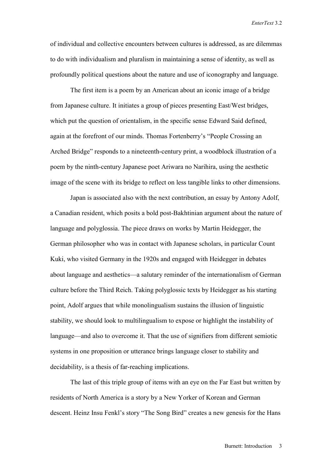of individual and collective encounters between cultures is addressed, as are dilemmas to do with individualism and pluralism in maintaining a sense of identity, as well as profoundly political questions about the nature and use of iconography and language.

 The first item is a poem by an American about an iconic image of a bridge from Japanese culture. It initiates a group of pieces presenting East/West bridges, which put the question of orientalism, in the specific sense Edward Said defined, again at the forefront of our minds. Thomas Fortenberry's "People Crossing an Arched Bridge" responds to a nineteenth-century print, a woodblock illustration of a poem by the ninth-century Japanese poet Ariwara no Narihira, using the aesthetic image of the scene with its bridge to reflect on less tangible links to other dimensions.

Japan is associated also with the next contribution, an essay by Antony Adolf, a Canadian resident, which posits a bold post-Bakhtinian argument about the nature of language and polyglossia. The piece draws on works by Martin Heidegger, the German philosopher who was in contact with Japanese scholars, in particular Count Kuki, who visited Germany in the 1920s and engaged with Heidegger in debates about language and aesthetics—a salutary reminder of the internationalism of German culture before the Third Reich. Taking polyglossic texts by Heidegger as his starting point, Adolf argues that while monolingualism sustains the illusion of linguistic stability, we should look to multilingualism to expose or highlight the instability of language—and also to overcome it. That the use of signifiers from different semiotic systems in one proposition or utterance brings language closer to stability and decidability, is a thesis of far-reaching implications.

The last of this triple group of items with an eye on the Far East but written by residents of North America is a story by a New Yorker of Korean and German descent. Heinz Insu Fenkl's story "The Song Bird" creates a new genesis for the Hans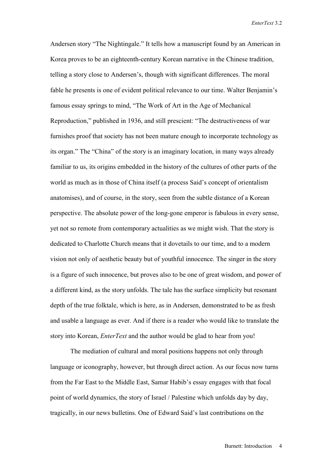Andersen story "The Nightingale." It tells how a manuscript found by an American in Korea proves to be an eighteenth-century Korean narrative in the Chinese tradition, telling a story close to Andersen's, though with significant differences. The moral fable he presents is one of evident political relevance to our time. Walter Benjamin's famous essay springs to mind, "The Work of Art in the Age of Mechanical Reproduction," published in 1936, and still prescient: "The destructiveness of war furnishes proof that society has not been mature enough to incorporate technology as its organ." The "China" of the story is an imaginary location, in many ways already familiar to us, its origins embedded in the history of the cultures of other parts of the world as much as in those of China itself (a process Said's concept of orientalism anatomises), and of course, in the story, seen from the subtle distance of a Korean perspective. The absolute power of the long-gone emperor is fabulous in every sense, yet not so remote from contemporary actualities as we might wish. That the story is dedicated to Charlotte Church means that it dovetails to our time, and to a modern vision not only of aesthetic beauty but of youthful innocence. The singer in the story is a figure of such innocence, but proves also to be one of great wisdom, and power of a different kind, as the story unfolds. The tale has the surface simplicity but resonant depth of the true folktale, which is here, as in Andersen, demonstrated to be as fresh and usable a language as ever. And if there is a reader who would like to translate the story into Korean, *EnterText* and the author would be glad to hear from you!

The mediation of cultural and moral positions happens not only through language or iconography, however, but through direct action. As our focus now turns from the Far East to the Middle East, Samar Habib's essay engages with that focal point of world dynamics, the story of Israel / Palestine which unfolds day by day, tragically, in our news bulletins. One of Edward Said's last contributions on the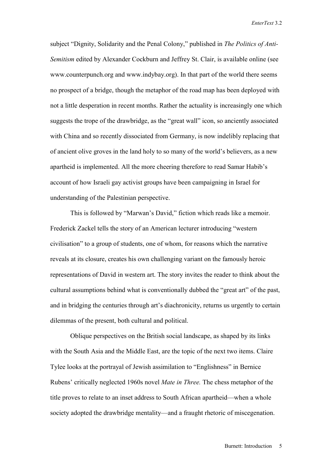subject "Dignity, Solidarity and the Penal Colony," published in *The Politics of Anti-Semitism* edited by Alexander Cockburn and Jeffrey St. Clair, is available online (see www.counterpunch.org and www.indybay.org). In that part of the world there seems no prospect of a bridge, though the metaphor of the road map has been deployed with not a little desperation in recent months. Rather the actuality is increasingly one which suggests the trope of the drawbridge, as the "great wall" icon, so anciently associated with China and so recently dissociated from Germany, is now indelibly replacing that of ancient olive groves in the land holy to so many of the world's believers, as a new apartheid is implemented. All the more cheering therefore to read Samar Habib's account of how Israeli gay activist groups have been campaigning in Israel for understanding of the Palestinian perspective.

This is followed by "Marwan's David," fiction which reads like a memoir. Frederick Zackel tells the story of an American lecturer introducing "western civilisation" to a group of students, one of whom, for reasons which the narrative reveals at its closure, creates his own challenging variant on the famously heroic representations of David in western art. The story invites the reader to think about the cultural assumptions behind what is conventionally dubbed the "great art" of the past, and in bridging the centuries through art's diachronicity, returns us urgently to certain dilemmas of the present, both cultural and political.

Oblique perspectives on the British social landscape, as shaped by its links with the South Asia and the Middle East, are the topic of the next two items. Claire Tylee looks at the portrayal of Jewish assimilation to "Englishness" in Bernice Rubens' critically neglected 1960s novel *Mate in Three.* The chess metaphor of the title proves to relate to an inset address to South African apartheid—when a whole society adopted the drawbridge mentality—and a fraught rhetoric of miscegenation.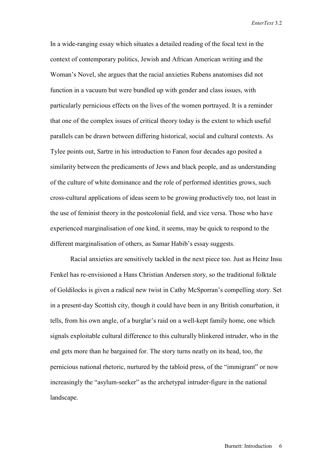In a wide-ranging essay which situates a detailed reading of the focal text in the context of contemporary politics, Jewish and African American writing and the Woman's Novel, she argues that the racial anxieties Rubens anatomises did not function in a vacuum but were bundled up with gender and class issues, with particularly pernicious effects on the lives of the women portrayed. It is a reminder that one of the complex issues of critical theory today is the extent to which useful parallels can be drawn between differing historical, social and cultural contexts. As Tylee points out, Sartre in his introduction to Fanon four decades ago posited a similarity between the predicaments of Jews and black people, and as understanding of the culture of white dominance and the role of performed identities grows, such cross-cultural applications of ideas seem to be growing productively too, not least in the use of feminist theory in the postcolonial field, and vice versa. Those who have experienced marginalisation of one kind, it seems, may be quick to respond to the different marginalisation of others, as Samar Habib's essay suggests.

Racial anxieties are sensitively tackled in the next piece too. Just as Heinz Insu Fenkel has re-envisioned a Hans Christian Andersen story, so the traditional folktale of Goldilocks is given a radical new twist in Cathy McSporran's compelling story. Set in a present-day Scottish city, though it could have been in any British conurbation, it tells, from his own angle, of a burglar's raid on a well-kept family home, one which signals exploitable cultural difference to this culturally blinkered intruder, who in the end gets more than he bargained for. The story turns neatly on its head, too, the pernicious national rhetoric, nurtured by the tabloid press, of the "immigrant" or now increasingly the "asylum-seeker" as the archetypal intruder-figure in the national landscape.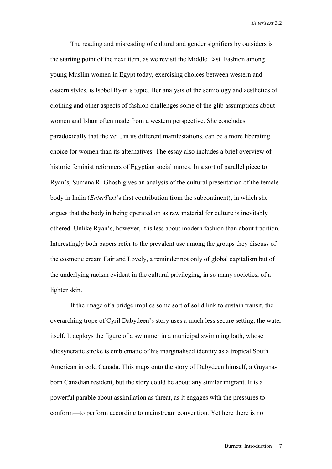The reading and misreading of cultural and gender signifiers by outsiders is the starting point of the next item, as we revisit the Middle East. Fashion among young Muslim women in Egypt today, exercising choices between western and eastern styles, is Isobel Ryan's topic. Her analysis of the semiology and aesthetics of clothing and other aspects of fashion challenges some of the glib assumptions about women and Islam often made from a western perspective. She concludes paradoxically that the veil, in its different manifestations, can be a more liberating choice for women than its alternatives. The essay also includes a brief overview of historic feminist reformers of Egyptian social mores. In a sort of parallel piece to Ryan's, Sumana R. Ghosh gives an analysis of the cultural presentation of the female body in India (*EnterText*'s first contribution from the subcontinent), in which she argues that the body in being operated on as raw material for culture is inevitably othered. Unlike Ryan's, however, it is less about modern fashion than about tradition. Interestingly both papers refer to the prevalent use among the groups they discuss of the cosmetic cream Fair and Lovely, a reminder not only of global capitalism but of the underlying racism evident in the cultural privileging, in so many societies, of a lighter skin.

If the image of a bridge implies some sort of solid link to sustain transit, the overarching trope of Cyril Dabydeen's story uses a much less secure setting, the water itself. It deploys the figure of a swimmer in a municipal swimming bath, whose idiosyncratic stroke is emblematic of his marginalised identity as a tropical South American in cold Canada. This maps onto the story of Dabydeen himself, a Guyanaborn Canadian resident, but the story could be about any similar migrant. It is a powerful parable about assimilation as threat, as it engages with the pressures to conform—to perform according to mainstream convention. Yet here there is no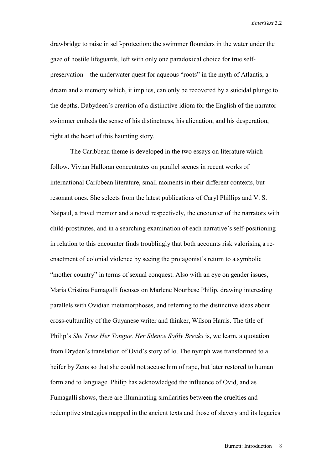drawbridge to raise in self-protection: the swimmer flounders in the water under the gaze of hostile lifeguards, left with only one paradoxical choice for true selfpreservation—the underwater quest for aqueous "roots" in the myth of Atlantis, a dream and a memory which, it implies, can only be recovered by a suicidal plunge to the depths. Dabydeen's creation of a distinctive idiom for the English of the narratorswimmer embeds the sense of his distinctness, his alienation, and his desperation, right at the heart of this haunting story.

The Caribbean theme is developed in the two essays on literature which follow. Vivian Halloran concentrates on parallel scenes in recent works of international Caribbean literature, small moments in their different contexts, but resonant ones. She selects from the latest publications of Caryl Phillips and V. S. Naipaul, a travel memoir and a novel respectively, the encounter of the narrators with child-prostitutes, and in a searching examination of each narrative's self-positioning in relation to this encounter finds troublingly that both accounts risk valorising a reenactment of colonial violence by seeing the protagonist's return to a symbolic "mother country" in terms of sexual conquest. Also with an eye on gender issues, Maria Cristina Fumagalli focuses on Marlene Nourbese Philip, drawing interesting parallels with Ovidian metamorphoses, and referring to the distinctive ideas about cross-culturality of the Guyanese writer and thinker, Wilson Harris. The title of Philip's *She Tries Her Tongue, Her Silence Softly Breaks* is, we learn, a quotation from Dryden's translation of Ovid's story of Io. The nymph was transformed to a heifer by Zeus so that she could not accuse him of rape, but later restored to human form and to language. Philip has acknowledged the influence of Ovid, and as Fumagalli shows, there are illuminating similarities between the cruelties and redemptive strategies mapped in the ancient texts and those of slavery and its legacies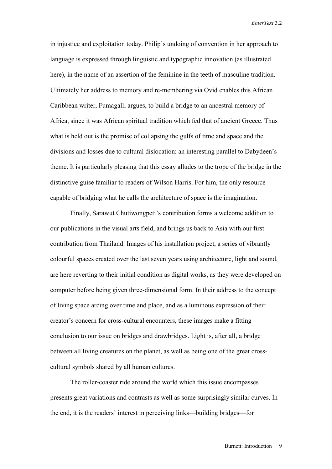in injustice and exploitation today. Philip's undoing of convention in her approach to language is expressed through linguistic and typographic innovation (as illustrated here), in the name of an assertion of the feminine in the teeth of masculine tradition. Ultimately her address to memory and re-membering via Ovid enables this African Caribbean writer, Fumagalli argues, to build a bridge to an ancestral memory of Africa, since it was African spiritual tradition which fed that of ancient Greece. Thus what is held out is the promise of collapsing the gulfs of time and space and the divisions and losses due to cultural dislocation: an interesting parallel to Dabydeen's theme. It is particularly pleasing that this essay alludes to the trope of the bridge in the distinctive guise familiar to readers of Wilson Harris. For him, the only resource capable of bridging what he calls the architecture of space is the imagination.

Finally, Sarawut Chutiwongpeti's contribution forms a welcome addition to our publications in the visual arts field, and brings us back to Asia with our first contribution from Thailand. Images of his installation project, a series of vibrantly colourful spaces created over the last seven years using architecture, light and sound, are here reverting to their initial condition as digital works, as they were developed on computer before being given three-dimensional form. In their address to the concept of living space arcing over time and place, and as a luminous expression of their creator's concern for cross-cultural encounters, these images make a fitting conclusion to our issue on bridges and drawbridges. Light is, after all, a bridge between all living creatures on the planet, as well as being one of the great crosscultural symbols shared by all human cultures.

The roller-coaster ride around the world which this issue encompasses presents great variations and contrasts as well as some surprisingly similar curves. In the end, it is the readers' interest in perceiving links—building bridges—for